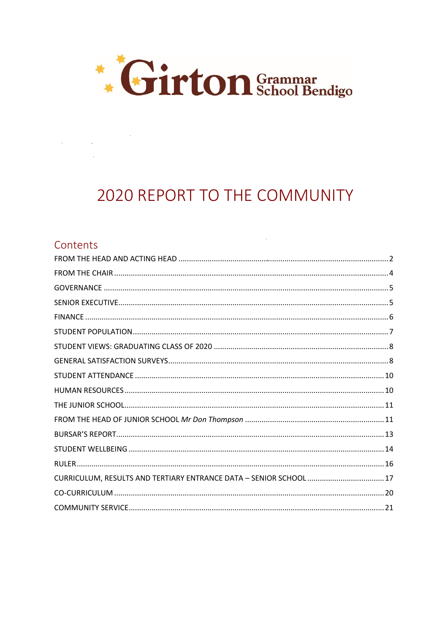

# **2020 REPORT TO THE COMMUNITY**

 $\sim 10^{-1}$ 

### Contents

 $\label{eq:2.1} \frac{1}{2} \int_{\mathbb{R}^3} \frac{1}{\sqrt{2\pi}} \int_{\mathbb{R}^3} \frac{1}{\sqrt{2\pi}} \int_{\mathbb{R}^3} \frac{1}{\sqrt{2\pi}} \int_{\mathbb{R}^3} \frac{1}{\sqrt{2\pi}} \int_{\mathbb{R}^3} \frac{1}{\sqrt{2\pi}} \int_{\mathbb{R}^3} \frac{1}{\sqrt{2\pi}} \int_{\mathbb{R}^3} \frac{1}{\sqrt{2\pi}} \int_{\mathbb{R}^3} \frac{1}{\sqrt{2\pi}} \int_{\mathbb{R}^3}$ 

| CURRICULUM, RESULTS AND TERTIARY ENTRANCE DATA - SENIOR SCHOOL 17 |
|-------------------------------------------------------------------|
|                                                                   |
|                                                                   |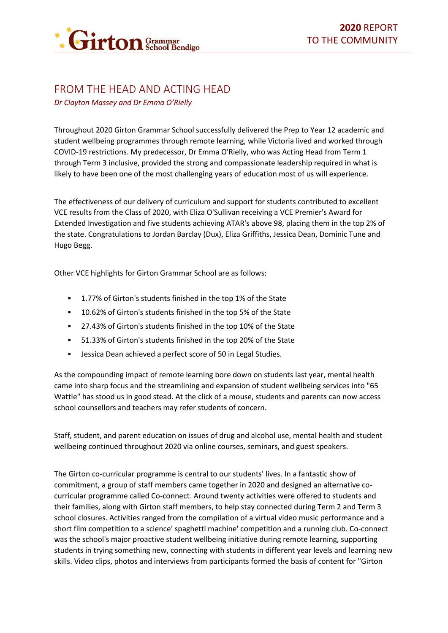

# <span id="page-1-0"></span>FROM THE HEAD AND ACTING HEAD

*Dr Clayton Massey and Dr Emma O'Rielly*

Throughout 2020 Girton Grammar School successfully delivered the Prep to Year 12 academic and student wellbeing programmes through remote learning, while Victoria lived and worked through COVID-19 restrictions. My predecessor, Dr Emma O'Rielly, who was Acting Head from Term 1 through Term 3 inclusive, provided the strong and compassionate leadership required in what is likely to have been one of the most challenging years of education most of us will experience.

The effectiveness of our delivery of curriculum and support for students contributed to excellent VCE results from the Class of 2020, with Eliza O'Sullivan receiving a VCE Premier's Award for Extended Investigation and five students achieving ATAR's above 98, placing them in the top 2% of the state. Congratulations to Jordan Barclay (Dux), Eliza Griffiths, Jessica Dean, Dominic Tune and Hugo Begg.

Other VCE highlights for Girton Grammar School are as follows:

- 1.77% of Girton's students finished in the top 1% of the State
- 10.62% of Girton's students finished in the top 5% of the State
- 27.43% of Girton's students finished in the top 10% of the State
- 51.33% of Girton's students finished in the top 20% of the State
- Jessica Dean achieved a perfect score of 50 in Legal Studies.

As the compounding impact of remote learning bore down on students last year, mental health came into sharp focus and the streamlining and expansion of student wellbeing services into "65 Wattle" has stood us in good stead. At the click of a mouse, students and parents can now access school counsellors and teachers may refer students of concern.

Staff, student, and parent education on issues of drug and alcohol use, mental health and student wellbeing continued throughout 2020 via online courses, seminars, and guest speakers.

The Girton co-curricular programme is central to our students' lives. In a fantastic show of commitment, a group of staff members came together in 2020 and designed an alternative cocurricular programme called Co-connect. Around twenty activities were offered to students and their families, along with Girton staff members, to help stay connected during Term 2 and Term 3 school closures. Activities ranged from the compilation of a virtual video music performance and a short film competition to a science' spaghetti machine' competition and a running club. Co-connect was the school's major proactive student wellbeing initiative during remote learning, supporting students in trying something new, connecting with students in different year levels and learning new skills. Video clips, photos and interviews from participants formed the basis of content for "Girton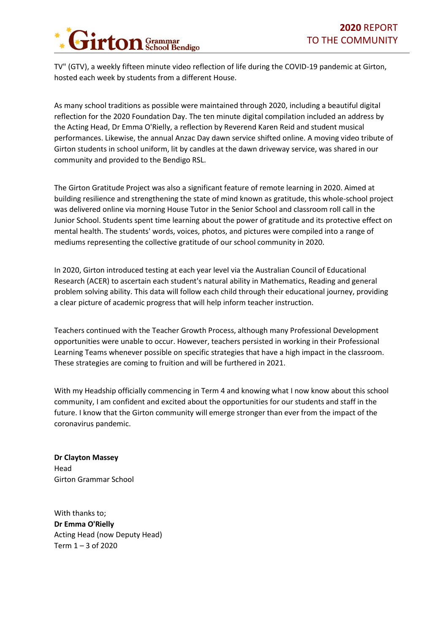

TV" (GTV), a weekly fifteen minute video reflection of life during the COVID-19 pandemic at Girton, hosted each week by students from a different House.

As many school traditions as possible were maintained through 2020, including a beautiful digital reflection for the 2020 Foundation Day. The ten minute digital compilation included an address by the Acting Head, Dr Emma O'Rielly, a reflection by Reverend Karen Reid and student musical performances. Likewise, the annual Anzac Day dawn service shifted online. A moving video tribute of Girton students in school uniform, lit by candles at the dawn driveway service, was shared in our community and provided to the Bendigo RSL.

The Girton Gratitude Project was also a significant feature of remote learning in 2020. Aimed at building resilience and strengthening the state of mind known as gratitude, this whole-school project was delivered online via morning House Tutor in the Senior School and classroom roll call in the Junior School. Students spent time learning about the power of gratitude and its protective effect on mental health. The students' words, voices, photos, and pictures were compiled into a range of mediums representing the collective gratitude of our school community in 2020.

In 2020, Girton introduced testing at each year level via the Australian Council of Educational Research (ACER) to ascertain each student's natural ability in Mathematics, Reading and general problem solving ability. This data will follow each child through their educational journey, providing a clear picture of academic progress that will help inform teacher instruction.

Teachers continued with the Teacher Growth Process, although many Professional Development opportunities were unable to occur. However, teachers persisted in working in their Professional Learning Teams whenever possible on specific strategies that have a high impact in the classroom. These strategies are coming to fruition and will be furthered in 2021.

With my Headship officially commencing in Term 4 and knowing what I now know about this school community, I am confident and excited about the opportunities for our students and staff in the future. I know that the Girton community will emerge stronger than ever from the impact of the coronavirus pandemic.

**Dr Clayton Massey** Head Girton Grammar School

With thanks to; **Dr Emma O'Rielly** Acting Head (now Deputy Head) Term 1 – 3 of 2020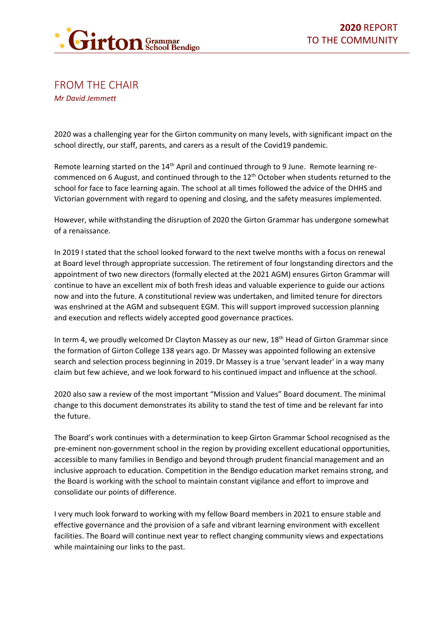

<span id="page-3-0"></span>FROM THE CHAIR *Mr David Jemmett*

2020 was a challenging year for the Girton community on many levels, with significant impact on the school directly, our staff, parents, and carers as a result of the Covid19 pandemic.

Remote learning started on the  $14<sup>th</sup>$  April and continued through to 9 June. Remote learning recommenced on 6 August, and continued through to the 12<sup>th</sup> October when students returned to the school for face to face learning again. The school at all times followed the advice of the DHHS and Victorian government with regard to opening and closing, and the safety measures implemented.

However, while withstanding the disruption of 2020 the Girton Grammar has undergone somewhat of a renaissance.

In 2019 I stated that the school looked forward to the next twelve months with a focus on renewal at Board level through appropriate succession. The retirement of four longstanding directors and the appointment of two new directors (formally elected at the 2021 AGM) ensures Girton Grammar will continue to have an excellent mix of both fresh ideas and valuable experience to guide our actions now and into the future. A constitutional review was undertaken, and limited tenure for directors was enshrined at the AGM and subsequent EGM. This will support improved succession planning and execution and reflects widely accepted good governance practices.

In term 4, we proudly welcomed Dr Clayton Massey as our new, 18<sup>th</sup> Head of Girton Grammar since the formation of Girton College 138 years ago. Dr Massey was appointed following an extensive search and selection process beginning in 2019. Dr Massey is a true 'servant leader' in a way many claim but few achieve, and we look forward to his continued impact and influence at the school.

2020 also saw a review of the most important "Mission and Values" Board document. The minimal change to this document demonstrates its ability to stand the test of time and be relevant far into the future.

The Board's work continues with a determination to keep Girton Grammar School recognised as the pre-eminent non-government school in the region by providing excellent educational opportunities, accessible to many families in Bendigo and beyond through prudent financial management and an inclusive approach to education. Competition in the Bendigo education market remains strong, and the Board is working with the school to maintain constant vigilance and effort to improve and consolidate our points of difference.

I very much look forward to working with my fellow Board members in 2021 to ensure stable and effective governance and the provision of a safe and vibrant learning environment with excellent facilities. The Board will continue next year to reflect changing community views and expectations while maintaining our links to the past.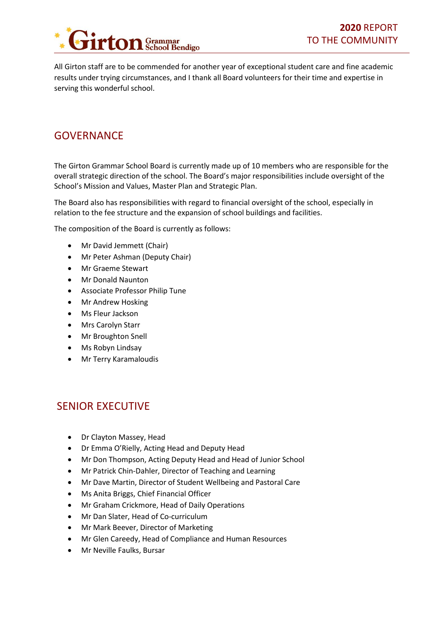

All Girton staff are to be commended for another year of exceptional student care and fine academic results under trying circumstances, and I thank all Board volunteers for their time and expertise in serving this wonderful school.

## <span id="page-4-0"></span>**GOVERNANCE**

The Girton Grammar School Board is currently made up of 10 members who are responsible for the overall strategic direction of the school. The Board's major responsibilities include oversight of the School's Mission and Values, Master Plan and Strategic Plan.

The Board also has responsibilities with regard to financial oversight of the school, especially in relation to the fee structure and the expansion of school buildings and facilities.

The composition of the Board is currently as follows:

- Mr David Jemmett (Chair)
- Mr Peter Ashman (Deputy Chair)
- Mr Graeme Stewart
- Mr Donald Naunton
- Associate Professor Philip Tune
- Mr Andrew Hosking
- Ms Fleur Jackson
- Mrs Carolyn Starr
- Mr Broughton Snell
- Ms Robyn Lindsay
- Mr Terry Karamaloudis

### <span id="page-4-1"></span>SENIOR EXECUTIVE

- Dr Clayton Massey, Head
- Dr Emma O'Rielly, Acting Head and Deputy Head
- Mr Don Thompson, Acting Deputy Head and Head of Junior School
- Mr Patrick Chin-Dahler, Director of Teaching and Learning
- Mr Dave Martin, Director of Student Wellbeing and Pastoral Care
- Ms Anita Briggs, Chief Financial Officer
- Mr Graham Crickmore, Head of Daily Operations
- Mr Dan Slater, Head of Co-curriculum
- Mr Mark Beever, Director of Marketing
- Mr Glen Careedy, Head of Compliance and Human Resources
- Mr Neville Faulks, Bursar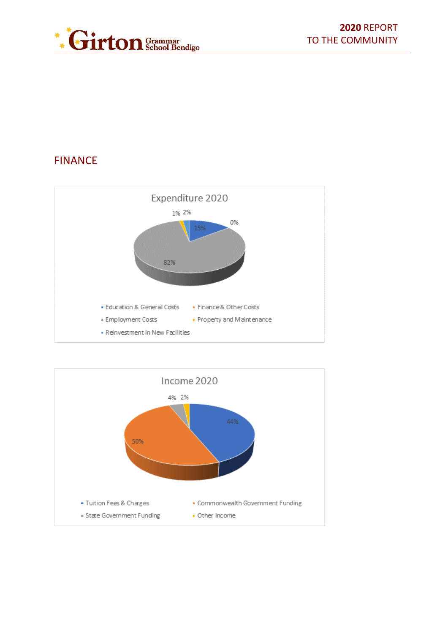

# <span id="page-5-0"></span>FINANCE



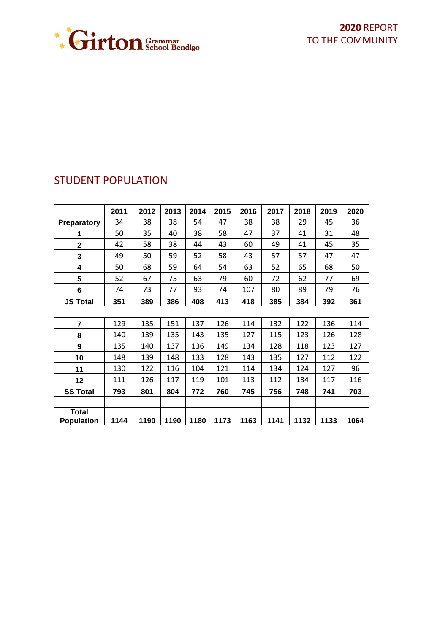

|                                   | 2011 | 2012 | 2013 | 2014 | 2015 | 2016 | 2017 | 2018 | 2019 | 2020 |
|-----------------------------------|------|------|------|------|------|------|------|------|------|------|
| Preparatory                       | 34   | 38   | 38   | 54   | 47   | 38   | 38   | 29   | 45   | 36   |
| 1                                 | 50   | 35   | 40   | 38   | 58   | 47   | 37   | 41   | 31   | 48   |
| $\mathbf 2$                       | 42   | 58   | 38   | 44   | 43   | 60   | 49   | 41   | 45   | 35   |
| 3                                 | 49   | 50   | 59   | 52   | 58   | 43   | 57   | 57   | 47   | 47   |
| 4                                 | 50   | 68   | 59   | 64   | 54   | 63   | 52   | 65   | 68   | 50   |
| 5                                 | 52   | 67   | 75   | 63   | 79   | 60   | 72   | 62   | 77   | 69   |
| 6                                 | 74   | 73   | 77   | 93   | 74   | 107  | 80   | 89   | 79   | 76   |
| <b>JS Total</b>                   | 351  | 389  | 386  | 408  | 413  | 418  | 385  | 384  | 392  | 361  |
|                                   |      |      |      |      |      |      |      |      |      |      |
| 7                                 | 129  | 135  | 151  | 137  | 126  | 114  | 132  | 122  | 136  | 114  |
| 8                                 | 140  | 139  | 135  | 143  | 135  | 127  | 115  | 123  | 126  | 128  |
| 9                                 | 135  | 140  | 137  | 136  | 149  | 134  | 128  | 118  | 123  | 127  |
| 10                                | 148  | 139  | 148  | 133  | 128  | 143  | 135  | 127  | 112  | 122  |
| 11                                | 130  | 122  | 116  | 104  | 121  | 114  | 134  | 124  | 127  | 96   |
| 12                                | 111  | 126  | 117  | 119  | 101  | 113  | 112  | 134  | 117  | 116  |
| <b>SS Total</b>                   | 793  | 801  | 804  | 772  | 760  | 745  | 756  | 748  | 741  | 703  |
|                                   |      |      |      |      |      |      |      |      |      |      |
| <b>Total</b><br><b>Population</b> | 1144 | 1190 | 1190 | 1180 | 1173 | 1163 | 1141 | 1132 | 1133 | 1064 |

# <span id="page-6-0"></span>STUDENT POPULATION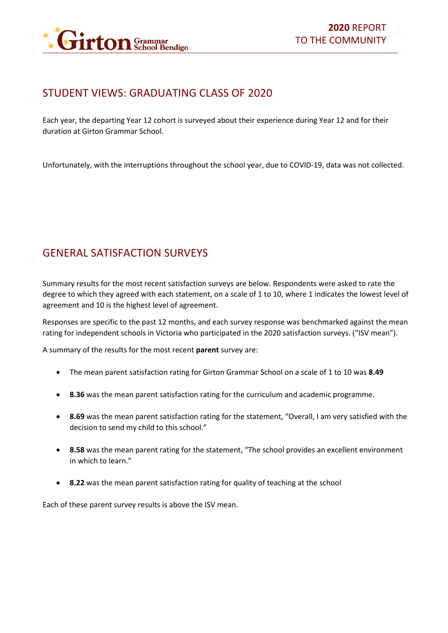

### <span id="page-7-0"></span>STUDENT VIEWS: GRADUATING CLASS OF 2020

Each year, the departing Year 12 cohort is surveyed about their experience during Year 12 and for their duration at Girton Grammar School.

Unfortunately, with the interruptions throughout the school year, due to COVID-19, data was not collected.

# <span id="page-7-1"></span>GENERAL SATISFACTION SURVEYS

Summary results for the most recent satisfaction surveys are below. Respondents were asked to rate the degree to which they agreed with each statement, on a scale of 1 to 10, where 1 indicates the lowest level of agreement and 10 is the highest level of agreement.

Responses are specific to the past 12 months, and each survey response was benchmarked against the mean rating for independent schools in Victoria who participated in the 2020 satisfaction surveys. ("ISV mean").

A summary of the results for the most recent **parent** survey are:

- The mean parent satisfaction rating for Girton Grammar School on a scale of 1 to 10 was **8.49**
- **8.36** was the mean parent satisfaction rating for the curriculum and academic programme.
- **8.69** was the mean parent satisfaction rating for the statement, "Overall, I am very satisfied with the decision to send my child to this school."
- **8.58** was the mean parent rating for the statement, "The school provides an excellent environment in which to learn."
- **8.22** was the mean parent satisfaction rating for quality of teaching at the school

Each of these parent survey results is above the ISV mean.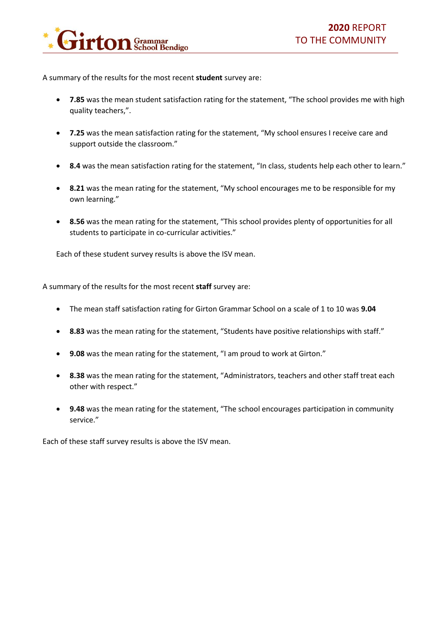

A summary of the results for the most recent **student** survey are:

- **7.85** was the mean student satisfaction rating for the statement, "The school provides me with high quality teachers,".
- **7.25** was the mean satisfaction rating for the statement, "My school ensures I receive care and support outside the classroom."
- **8.4** was the mean satisfaction rating for the statement, "In class, students help each other to learn."
- **8.21** was the mean rating for the statement, "My school encourages me to be responsible for my own learning."
- **8.56** was the mean rating for the statement, "This school provides plenty of opportunities for all students to participate in co-curricular activities."

Each of these student survey results is above the ISV mean.

A summary of the results for the most recent **staff** survey are:

- The mean staff satisfaction rating for Girton Grammar School on a scale of 1 to 10 was **9.04**
- **8.83** was the mean rating for the statement, "Students have positive relationships with staff."
- **9.08** was the mean rating for the statement, "I am proud to work at Girton."
- **8.38** was the mean rating for the statement, "Administrators, teachers and other staff treat each other with respect."
- **9.48** was the mean rating for the statement, "The school encourages participation in community service."

Each of these staff survey results is above the ISV mean.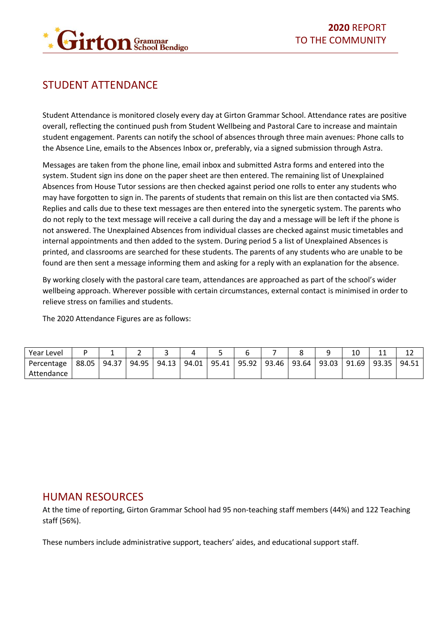

# <span id="page-9-0"></span>STUDENT ATTENDANCE

Student Attendance is monitored closely every day at Girton Grammar School. Attendance rates are positive overall, reflecting the continued push from Student Wellbeing and Pastoral Care to increase and maintain student engagement. Parents can notify the school of absences through three main avenues: Phone calls to the Absence Line, emails to the Absences Inbox or, preferably, via a signed submission through Astra.

Messages are taken from the phone line, email inbox and submitted Astra forms and entered into the system. Student sign ins done on the paper sheet are then entered. The remaining list of Unexplained Absences from House Tutor sessions are then checked against period one rolls to enter any students who may have forgotten to sign in. The parents of students that remain on this list are then contacted via SMS. Replies and calls due to these text messages are then entered into the synergetic system. The parents who do not reply to the text message will receive a call during the day and a message will be left if the phone is not answered. The Unexplained Absences from individual classes are checked against music timetables and internal appointments and then added to the system. During period 5 a list of Unexplained Absences is printed, and classrooms are searched for these students. The parents of any students who are unable to be found are then sent a message informing them and asking for a reply with an explanation for the absence.

By working closely with the pastoral care team, attendances are approached as part of the school's wider wellbeing approach. Wherever possible with certain circumstances, external contact is minimised in order to relieve stress on families and students.

The 2020 Attendance Figures are as follows:

| Year Level |       |       |       |       |       |       |       |       |       |       | 10<br>TN | <b>. .</b> | . .   |
|------------|-------|-------|-------|-------|-------|-------|-------|-------|-------|-------|----------|------------|-------|
| Percentage | 88.05 | 94.37 | 94.95 | 94.13 | 94.01 | 95.41 | 95.92 | 93.46 | 93.64 | 93.03 | 91.69    | 93.35      | 94.51 |
| Attendance |       |       |       |       |       |       |       |       |       |       |          |            |       |

### <span id="page-9-1"></span>HUMAN RESOURCES

At the time of reporting, Girton Grammar School had 95 non-teaching staff members (44%) and 122 Teaching staff (56%).

These numbers include administrative support, teachers' aides, and educational support staff.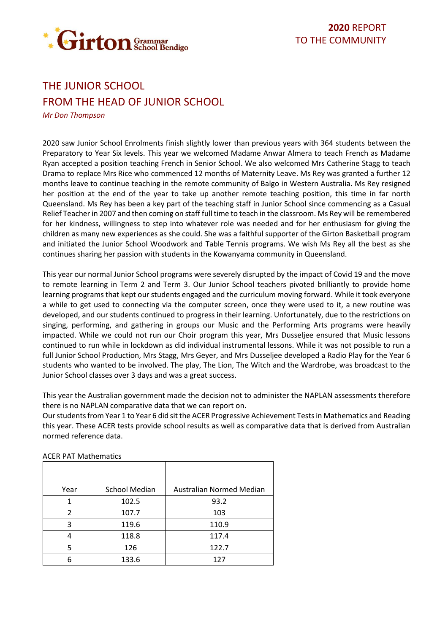

# <span id="page-10-1"></span><span id="page-10-0"></span>THE JUNIOR SCHOOL FROM THE HEAD OF JUNIOR SCHOOL

*Mr Don Thompson*

2020 saw Junior School Enrolments finish slightly lower than previous years with 364 students between the Preparatory to Year Six levels. This year we welcomed Madame Anwar Almera to teach French as Madame Ryan accepted a position teaching French in Senior School. We also welcomed Mrs Catherine Stagg to teach Drama to replace Mrs Rice who commenced 12 months of Maternity Leave. Ms Rey was granted a further 12 months leave to continue teaching in the remote community of Balgo in Western Australia. Ms Rey resigned her position at the end of the year to take up another remote teaching position, this time in far north Queensland. Ms Rey has been a key part of the teaching staff in Junior School since commencing as a Casual Relief Teacher in 2007 and then coming on staff full time to teach in the classroom. Ms Rey will be remembered for her kindness, willingness to step into whatever role was needed and for her enthusiasm for giving the children as many new experiences as she could. She was a faithful supporter of the Girton Basketball program and initiated the Junior School Woodwork and Table Tennis programs. We wish Ms Rey all the best as she continues sharing her passion with students in the Kowanyama community in Queensland.

This year our normal Junior School programs were severely disrupted by the impact of Covid 19 and the move to remote learning in Term 2 and Term 3. Our Junior School teachers pivoted brilliantly to provide home learning programs that kept our students engaged and the curriculum moving forward. While it took everyone a while to get used to connecting via the computer screen, once they were used to it, a new routine was developed, and our students continued to progress in their learning. Unfortunately, due to the restrictions on singing, performing, and gathering in groups our Music and the Performing Arts programs were heavily impacted. While we could not run our Choir program this year, Mrs Dusseljee ensured that Music lessons continued to run while in lockdown as did individual instrumental lessons. While it was not possible to run a full Junior School Production, Mrs Stagg, Mrs Geyer, and Mrs Dusseljee developed a Radio Play for the Year 6 students who wanted to be involved. The play, The Lion, The Witch and the Wardrobe, was broadcast to the Junior School classes over 3 days and was a great success.

This year the Australian government made the decision not to administer the NAPLAN assessments therefore there is no NAPLAN comparative data that we can report on.

Our students from Year 1 to Year 6 did sit the ACER Progressive Achievement Tests in Mathematics and Reading this year. These ACER tests provide school results as well as comparative data that is derived from Australian normed reference data.

| Year          | <b>School Median</b> | Australian Normed Median |
|---------------|----------------------|--------------------------|
| 1             | 102.5                | 93.2                     |
| $\mathcal{P}$ | 107.7                | 103                      |
| 3             | 119.6                | 110.9                    |
|               | 118.8                | 117.4                    |
| 5             | 126                  | 122.7                    |
|               | 133.6                | 127                      |

ACER PAT Mathematics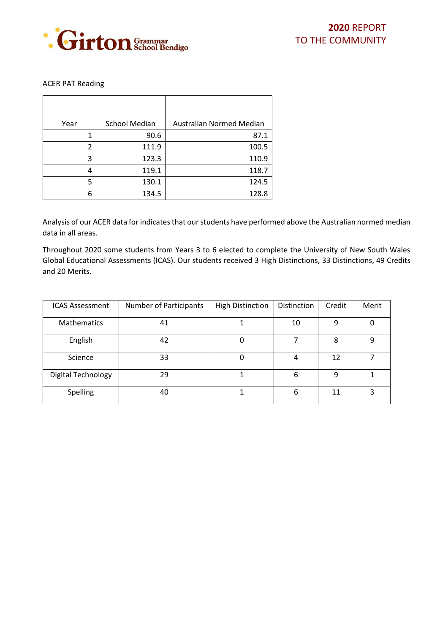

#### ACER PAT Reading

| Year | <b>School Median</b> | Australian Normed Median |
|------|----------------------|--------------------------|
| 1    | 90.6                 | 87.1                     |
| 2    | 111.9                | 100.5                    |
| 3    | 123.3                | 110.9                    |
| 4    | 119.1                | 118.7                    |
| 5    | 130.1                | 124.5                    |
| 6    | 134.5                | 128.8                    |

Analysis of our ACER data for indicates that our students have performed above the Australian normed median data in all areas.

Throughout 2020 some students from Years 3 to 6 elected to complete the University of New South Wales Global Educational Assessments (ICAS). Our students received 3 High Distinctions, 33 Distinctions, 49 Credits and 20 Merits.

| <b>ICAS Assessment</b> | <b>Number of Participants</b> | <b>High Distinction</b> | Distinction | Credit | Merit |
|------------------------|-------------------------------|-------------------------|-------------|--------|-------|
| <b>Mathematics</b>     | 41                            |                         | 10          | 9      | 0     |
| English                | 42                            |                         | 7           | 8      | 9     |
| Science                | 33                            |                         | 4           | 12     |       |
| Digital Technology     | 29                            |                         | 6           | 9      |       |
| Spelling               | 40                            | 1                       | 6           | 11     | 3     |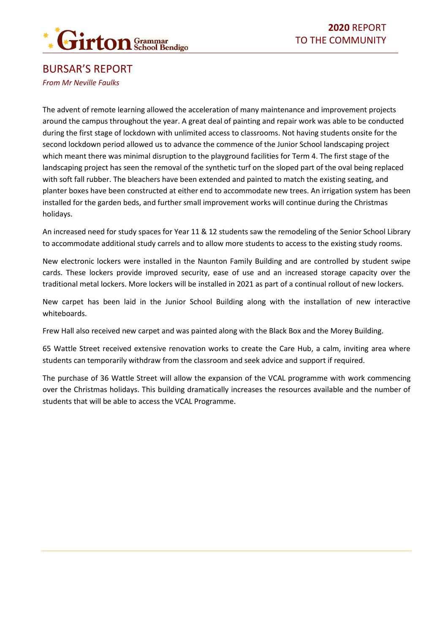

### <span id="page-12-0"></span>BURSAR'S REPORT *From Mr Neville Faulks*

The advent of remote learning allowed the acceleration of many maintenance and improvement projects around the campus throughout the year. A great deal of painting and repair work was able to be conducted during the first stage of lockdown with unlimited access to classrooms. Not having students onsite for the second lockdown period allowed us to advance the commence of the Junior School landscaping project which meant there was minimal disruption to the playground facilities for Term 4. The first stage of the landscaping project has seen the removal of the synthetic turf on the sloped part of the oval being replaced with soft fall rubber. The bleachers have been extended and painted to match the existing seating, and planter boxes have been constructed at either end to accommodate new trees. An irrigation system has been installed for the garden beds, and further small improvement works will continue during the Christmas holidays.

An increased need for study spaces for Year 11 & 12 students saw the remodeling of the Senior School Library to accommodate additional study carrels and to allow more students to access to the existing study rooms.

New electronic lockers were installed in the Naunton Family Building and are controlled by student swipe cards. These lockers provide improved security, ease of use and an increased storage capacity over the traditional metal lockers. More lockers will be installed in 2021 as part of a continual rollout of new lockers.

New carpet has been laid in the Junior School Building along with the installation of new interactive whiteboards.

Frew Hall also received new carpet and was painted along with the Black Box and the Morey Building.

65 Wattle Street received extensive renovation works to create the Care Hub, a calm, inviting area where students can temporarily withdraw from the classroom and seek advice and support if required.

The purchase of 36 Wattle Street will allow the expansion of the VCAL programme with work commencing over the Christmas holidays. This building dramatically increases the resources available and the number of students that will be able to access the VCAL Programme.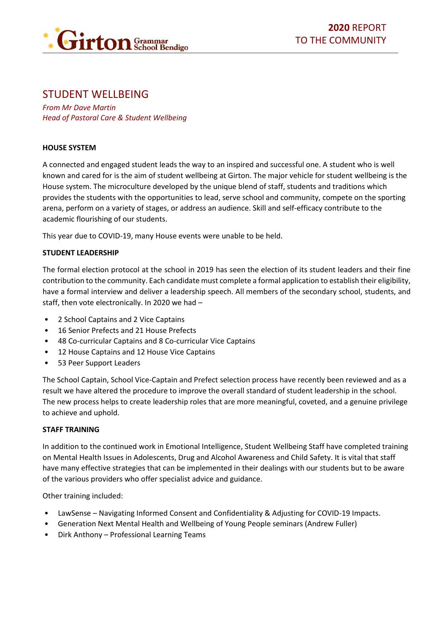

### <span id="page-13-0"></span>STUDENT WELLBEING

*From Mr Dave Martin Head of Pastoral Care & Student Wellbeing*

#### **HOUSE SYSTEM**

A connected and engaged student leads the way to an inspired and successful one. A student who is well known and cared for is the aim of student wellbeing at Girton. The major vehicle for student wellbeing is the House system. The microculture developed by the unique blend of staff, students and traditions which provides the students with the opportunities to lead, serve school and community, compete on the sporting arena, perform on a variety of stages, or address an audience. Skill and self-efficacy contribute to the academic flourishing of our students.

This year due to COVID-19, many House events were unable to be held.

#### **STUDENT LEADERSHIP**

The formal election protocol at the school in 2019 has seen the election of its student leaders and their fine contribution to the community. Each candidate must complete a formal application to establish their eligibility, have a formal interview and deliver a leadership speech. All members of the secondary school, students, and staff, then vote electronically. In 2020 we had –

- 2 School Captains and 2 Vice Captains
- 16 Senior Prefects and 21 House Prefects
- 48 Co-curricular Captains and 8 Co-curricular Vice Captains
- 12 House Captains and 12 House Vice Captains
- 53 Peer Support Leaders

The School Captain, School Vice-Captain and Prefect selection process have recently been reviewed and as a result we have altered the procedure to improve the overall standard of student leadership in the school. The new process helps to create leadership roles that are more meaningful, coveted, and a genuine privilege to achieve and uphold.

#### **STAFF TRAINING**

In addition to the continued work in Emotional Intelligence, Student Wellbeing Staff have completed training on Mental Health Issues in Adolescents, Drug and Alcohol Awareness and Child Safety. It is vital that staff have many effective strategies that can be implemented in their dealings with our students but to be aware of the various providers who offer specialist advice and guidance.

Other training included:

- LawSense Navigating Informed Consent and Confidentiality & Adjusting for COVID-19 Impacts.
- Generation Next Mental Health and Wellbeing of Young People seminars (Andrew Fuller)
- Dirk Anthony Professional Learning Teams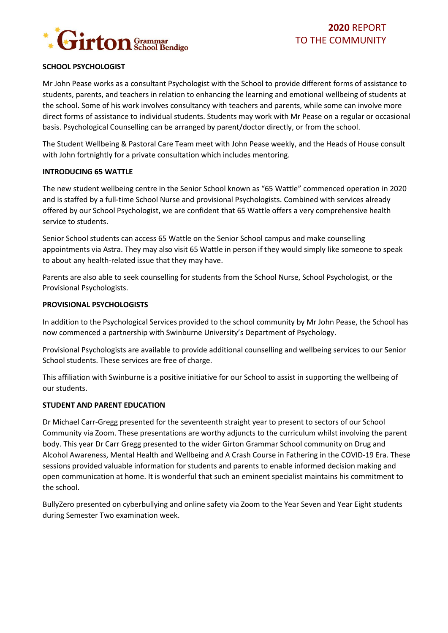

#### **SCHOOL PSYCHOLOGIST**

Mr John Pease works as a consultant Psychologist with the School to provide different forms of assistance to students, parents, and teachers in relation to enhancing the learning and emotional wellbeing of students at the school. Some of his work involves consultancy with teachers and parents, while some can involve more direct forms of assistance to individual students. Students may work with Mr Pease on a regular or occasional basis. Psychological Counselling can be arranged by parent/doctor directly, or from the school.

The Student Wellbeing & Pastoral Care Team meet with John Pease weekly, and the Heads of House consult with John fortnightly for a private consultation which includes mentoring.

#### **INTRODUCING 65 WATTLE**

The new student wellbeing centre in the Senior School known as "65 Wattle" commenced operation in 2020 and is staffed by a full-time School Nurse and provisional Psychologists. Combined with services already offered by our School Psychologist, we are confident that 65 Wattle offers a very comprehensive health service to students.

Senior School students can access 65 Wattle on the Senior School campus and make counselling appointments via Astra. They may also visit 65 Wattle in person if they would simply like someone to speak to about any health-related issue that they may have.

Parents are also able to seek counselling for students from the School Nurse, School Psychologist, or the Provisional Psychologists.

#### **PROVISIONAL PSYCHOLOGISTS**

In addition to the Psychological Services provided to the school community by Mr John Pease, the School has now commenced a partnership with Swinburne University's Department of Psychology.

Provisional Psychologists are available to provide additional counselling and wellbeing services to our Senior School students. These services are free of charge.

This affiliation with Swinburne is a positive initiative for our School to assist in supporting the wellbeing of our students.

#### **STUDENT AND PARENT EDUCATION**

Dr Michael Carr-Gregg presented for the seventeenth straight year to present to sectors of our School Community via Zoom. These presentations are worthy adjuncts to the curriculum whilst involving the parent body. This year Dr Carr Gregg presented to the wider Girton Grammar School community on Drug and Alcohol Awareness, Mental Health and Wellbeing and A Crash Course in Fathering in the COVID-19 Era. These sessions provided valuable information for students and parents to enable informed decision making and open communication at home. It is wonderful that such an eminent specialist maintains his commitment to the school.

BullyZero presented on cyberbullying and online safety via Zoom to the Year Seven and Year Eight students during Semester Two examination week.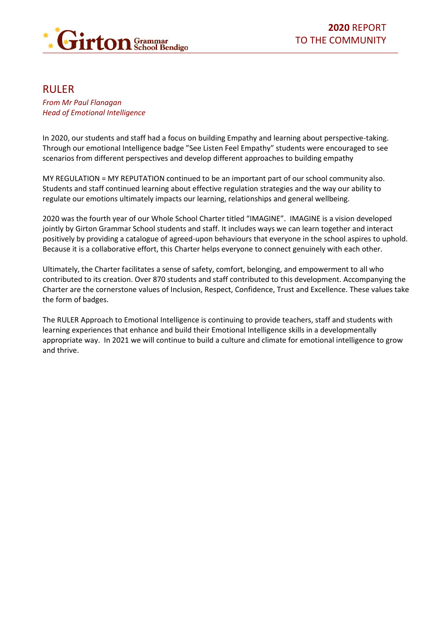

### <span id="page-15-0"></span>RULER

#### *From Mr Paul Flanagan Head of Emotional Intelligence*

In 2020, our students and staff had a focus on building Empathy and learning about perspective-taking. Through our emotional Intelligence badge "See Listen Feel Empathy" students were encouraged to see scenarios from different perspectives and develop different approaches to building empathy

MY REGULATION = MY REPUTATION continued to be an important part of our school community also. Students and staff continued learning about effective regulation strategies and the way our ability to regulate our emotions ultimately impacts our learning, relationships and general wellbeing.

2020 was the fourth year of our Whole School Charter titled "IMAGINE". IMAGINE is a vision developed jointly by Girton Grammar School students and staff. It includes ways we can learn together and interact positively by providing a catalogue of agreed-upon behaviours that everyone in the school aspires to uphold. Because it is a collaborative effort, this Charter helps everyone to connect genuinely with each other.

Ultimately, the Charter facilitates a sense of safety, comfort, belonging, and empowerment to all who contributed to its creation. Over 870 students and staff contributed to this development. Accompanying the Charter are the cornerstone values of Inclusion, Respect, Confidence, Trust and Excellence. These values take the form of badges.

The RULER Approach to Emotional Intelligence is continuing to provide teachers, staff and students with learning experiences that enhance and build their Emotional Intelligence skills in a developmentally appropriate way. In 2021 we will continue to build a culture and climate for emotional intelligence to grow and thrive.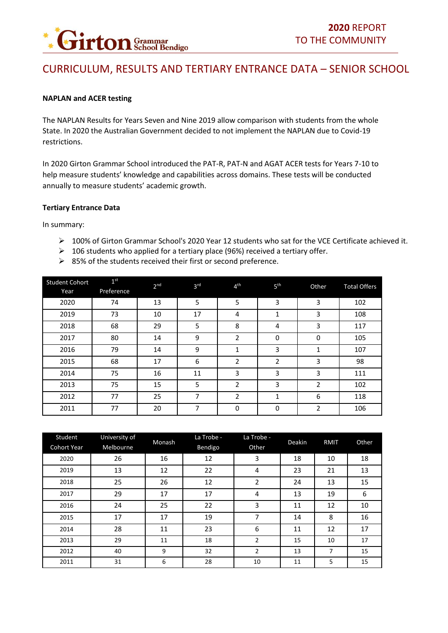

# <span id="page-16-0"></span>CURRICULUM, RESULTS AND TERTIARY ENTRANCE DATA – SENIOR SCHOOL

#### **NAPLAN and ACER testing**

The NAPLAN Results for Years Seven and Nine 2019 allow comparison with students from the whole State. In 2020 the Australian Government decided to not implement the NAPLAN due to Covid-19 restrictions.

In 2020 Girton Grammar School introduced the PAT-R, PAT-N and AGAT ACER tests for Years 7-10 to help measure students' knowledge and capabilities across domains. These tests will be conducted annually to measure students' academic growth.

#### **Tertiary Entrance Data**

In summary:

- ➢ 100% of Girton Grammar School's 2020 Year 12 students who sat for the VCE Certificate achieved it.
- $\geq$  106 students who applied for a tertiary place (96%) received a tertiary offer.
- ➢ 85% of the students received their first or second preference.

| <b>Student Cohort</b><br>Year | 1 <sup>st</sup><br>Preference | 2 <sub>nd</sub> | 3 <sup>rd</sup> | 4 <sup>th</sup> | 5 <sup>th</sup> | Other    | <b>Total Offers</b> |
|-------------------------------|-------------------------------|-----------------|-----------------|-----------------|-----------------|----------|---------------------|
| 2020                          | 74                            | 13              | 5               | 5               | 3               | 3        | 102                 |
| 2019                          | 73                            | 10              | 17              | 4               | 1               | 3        | 108                 |
| 2018                          | 68                            | 29              | 5               | 8               | 4               | 3        | 117                 |
| 2017                          | 80                            | 14              | 9               | 2               | 0               | $\Omega$ | 105                 |
| 2016                          | 79                            | 14              | 9               | 1               | 3               |          | 107                 |
| 2015                          | 68                            | 17              | 6               | 2               | 2               | 3        | 98                  |
| 2014                          | 75                            | 16              | 11              | 3               | 3               | 3        | 111                 |
| 2013                          | 75                            | 15              | 5               | 2               | 3               | 2        | 102                 |
| 2012                          | 77                            | 25              | 7               | 2               | 1               | 6        | 118                 |
| 2011                          | 77                            | 20              | 7               | 0               | 0               | 2        | 106                 |

| Student<br><b>Cohort Year</b> | University of<br>Melbourne | Monash | La Trobe -<br>Bendigo | La Trobe -<br>Other | Deakin | <b>RMIT</b> | Other |
|-------------------------------|----------------------------|--------|-----------------------|---------------------|--------|-------------|-------|
| 2020                          | 26                         | 16     | 12                    | 3                   | 18     | 10          | 18    |
| 2019                          | 13                         | 12     | 22                    | 4                   | 23     | 21          | 13    |
| 2018                          | 25                         | 26     | 12                    | 2                   | 24     | 13          | 15    |
| 2017                          | 29                         | 17     | 17                    | 4                   | 13     | 19          | 6     |
| 2016                          | 24                         | 25     | 22                    | 3                   | 11     | 12          | 10    |
| 2015                          | 17                         | 17     | 19                    | 7                   | 14     | 8           | 16    |
| 2014                          | 28                         | 11     | 23                    | 6                   | 11     | 12          | 17    |
| 2013                          | 29                         | 11     | 18                    | $\overline{2}$      | 15     | 10          | 17    |
| 2012                          | 40                         | 9      | 32                    | $\overline{2}$      | 13     | 7           | 15    |
| 2011                          | 31                         | 6      | 28                    | 10                  | 11     | 5           | 15    |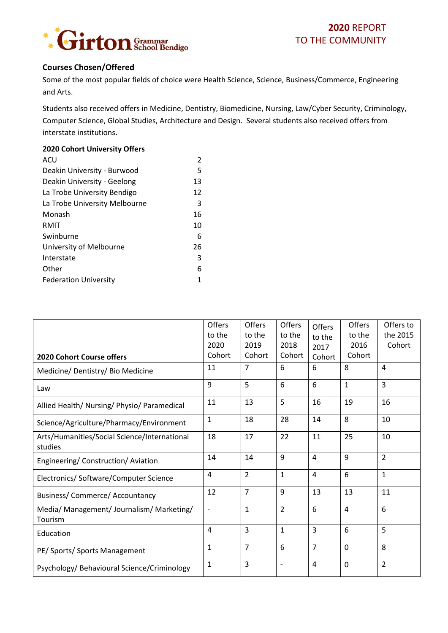

#### **Courses Chosen/Offered**

Some of the most popular fields of choice were Health Science, Science, Business/Commerce, Engineering and Arts.

Students also received offers in Medicine, Dentistry, Biomedicine, Nursing, Law/Cyber Security, Criminology, Computer Science, Global Studies, Architecture and Design. Several students also received offers from interstate institutions.

#### **2020 Cohort University Offers**

| ACU                           | $\mathfrak{p}$ |
|-------------------------------|----------------|
| Deakin University - Burwood   | 5              |
| Deakin University - Geelong   | 13             |
| La Trobe University Bendigo   | 12             |
| La Trobe University Melbourne | 3              |
| Monash                        | 16             |
| RMIT                          | 10             |
| Swinburne                     | 6              |
| University of Melbourne       | 26             |
| Interstate                    | 3              |
| Other                         | 6              |
| <b>Federation University</b>  | 1              |

| <b>2020 Cohort Course offers</b>                        | <b>Offers</b><br>to the<br>2020<br>Cohort | Offers<br>to the<br>2019<br>Cohort | <b>Offers</b><br>to the<br>2018<br>Cohort | Offers<br>to the<br>2017<br>Cohort | Offers<br>to the<br>2016<br>Cohort | Offers to<br>the 2015<br>Cohort |
|---------------------------------------------------------|-------------------------------------------|------------------------------------|-------------------------------------------|------------------------------------|------------------------------------|---------------------------------|
| Medicine/ Dentistry/ Bio Medicine                       | 11                                        | $\overline{7}$                     | 6                                         | 6                                  | 8                                  | 4                               |
| Law                                                     | 9                                         | 5                                  | 6                                         | 6                                  | $\mathbf{1}$                       | 3                               |
| Allied Health/ Nursing/ Physio/ Paramedical             | 11                                        | 13                                 | 5                                         | 16                                 | 19                                 | 16                              |
| Science/Agriculture/Pharmacy/Environment                | 1                                         | 18                                 | 28                                        | 14                                 | 8                                  | 10                              |
| Arts/Humanities/Social Science/International<br>studies | 18                                        | 17                                 | 22                                        | 11                                 | 25                                 | 10                              |
| Engineering/ Construction/ Aviation                     | 14                                        | 14                                 | 9                                         | $\overline{4}$                     | 9                                  | $\overline{2}$                  |
| Electronics/ Software/Computer Science                  | 4                                         | $\overline{2}$                     | $\mathbf{1}$                              | 4                                  | 6                                  | $\mathbf{1}$                    |
| <b>Business/ Commerce/ Accountancy</b>                  | 12                                        | $\overline{7}$                     | 9                                         | 13                                 | 13                                 | 11                              |
| Media/ Management/ Journalism/ Marketing/<br>Tourism    | $\overline{\phantom{a}}$                  | $\mathbf{1}$                       | $\overline{2}$                            | 6                                  | $\overline{4}$                     | 6                               |
| Education                                               | 4                                         | $\overline{3}$                     | $\mathbf{1}$                              | $\overline{3}$                     | 6                                  | 5                               |
| PE/ Sports/ Sports Management                           | $\mathbf{1}$                              | $\overline{7}$                     | 6                                         | $\overline{7}$                     | $\mathbf 0$                        | 8                               |
| Psychology/ Behavioural Science/Criminology             | $\mathbf{1}$                              | 3                                  | $\qquad \qquad -$                         | $\overline{4}$                     | 0                                  | $\overline{2}$                  |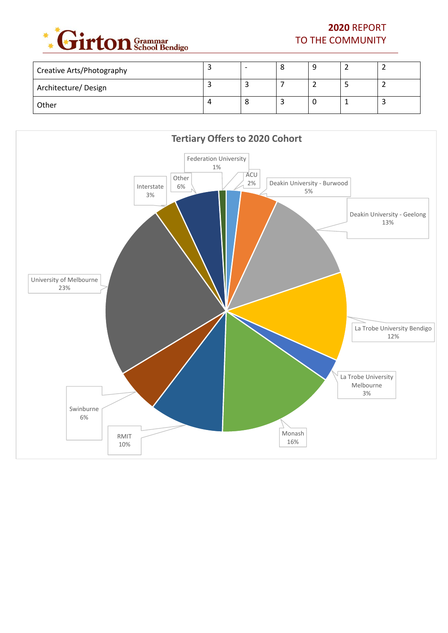

## **2020** REPORT TO THE COMMUNITY

| <b>Creative Arts/Photography</b> |  | C |  |  |
|----------------------------------|--|---|--|--|
| Architecture/Design              |  |   |  |  |
| Other                            |  |   |  |  |

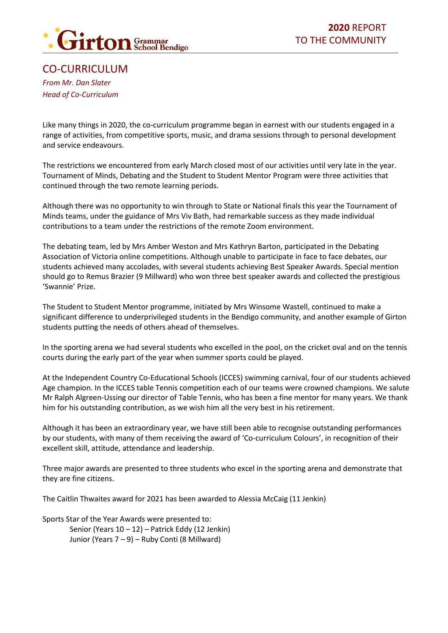

<span id="page-19-0"></span>CO-CURRICULUM *From Mr. Dan Slater Head of Co-Curriculum*

Like many things in 2020, the co-curriculum programme began in earnest with our students engaged in a range of activities, from competitive sports, music, and drama sessions through to personal development and service endeavours.

The restrictions we encountered from early March closed most of our activities until very late in the year. Tournament of Minds, Debating and the Student to Student Mentor Program were three activities that continued through the two remote learning periods.

Although there was no opportunity to win through to State or National finals this year the Tournament of Minds teams, under the guidance of Mrs Viv Bath, had remarkable success as they made individual contributions to a team under the restrictions of the remote Zoom environment.

The debating team, led by Mrs Amber Weston and Mrs Kathryn Barton, participated in the Debating Association of Victoria online competitions. Although unable to participate in face to face debates, our students achieved many accolades, with several students achieving Best Speaker Awards. Special mention should go to Remus Brazier (9 Millward) who won three best speaker awards and collected the prestigious 'Swannie' Prize.

The Student to Student Mentor programme, initiated by Mrs Winsome Wastell, continued to make a significant difference to underprivileged students in the Bendigo community, and another example of Girton students putting the needs of others ahead of themselves.

In the sporting arena we had several students who excelled in the pool, on the cricket oval and on the tennis courts during the early part of the year when summer sports could be played.

At the Independent Country Co-Educational Schools (ICCES) swimming carnival, four of our students achieved Age champion. In the ICCES table Tennis competition each of our teams were crowned champions. We salute Mr Ralph Algreen-Ussing our director of Table Tennis, who has been a fine mentor for many years. We thank him for his outstanding contribution, as we wish him all the very best in his retirement.

Although it has been an extraordinary year, we have still been able to recognise outstanding performances by our students, with many of them receiving the award of 'Co-curriculum Colours', in recognition of their excellent skill, attitude, attendance and leadership.

Three major awards are presented to three students who excel in the sporting arena and demonstrate that they are fine citizens.

The Caitlin Thwaites award for 2021 has been awarded to Alessia McCaig (11 Jenkin)

Sports Star of the Year Awards were presented to:

Senior (Years 10 – 12) – Patrick Eddy (12 Jenkin) Junior (Years 7 – 9) – Ruby Conti (8 Millward)